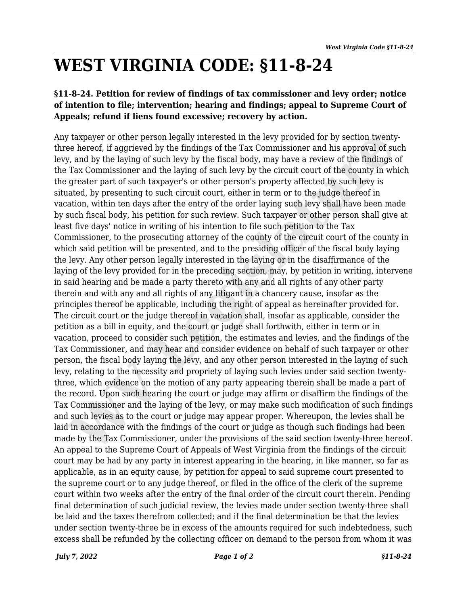## **WEST VIRGINIA CODE: §11-8-24**

## **§11-8-24. Petition for review of findings of tax commissioner and levy order; notice of intention to file; intervention; hearing and findings; appeal to Supreme Court of Appeals; refund if liens found excessive; recovery by action.**

Any taxpayer or other person legally interested in the levy provided for by section twentythree hereof, if aggrieved by the findings of the Tax Commissioner and his approval of such levy, and by the laying of such levy by the fiscal body, may have a review of the findings of the Tax Commissioner and the laying of such levy by the circuit court of the county in which the greater part of such taxpayer's or other person's property affected by such levy is situated, by presenting to such circuit court, either in term or to the judge thereof in vacation, within ten days after the entry of the order laying such levy shall have been made by such fiscal body, his petition for such review. Such taxpayer or other person shall give at least five days' notice in writing of his intention to file such petition to the Tax Commissioner, to the prosecuting attorney of the county of the circuit court of the county in which said petition will be presented, and to the presiding officer of the fiscal body laying the levy. Any other person legally interested in the laying or in the disaffirmance of the laying of the levy provided for in the preceding section, may, by petition in writing, intervene in said hearing and be made a party thereto with any and all rights of any other party therein and with any and all rights of any litigant in a chancery cause, insofar as the principles thereof be applicable, including the right of appeal as hereinafter provided for. The circuit court or the judge thereof in vacation shall, insofar as applicable, consider the petition as a bill in equity, and the court or judge shall forthwith, either in term or in vacation, proceed to consider such petition, the estimates and levies, and the findings of the Tax Commissioner, and may hear and consider evidence on behalf of such taxpayer or other person, the fiscal body laying the levy, and any other person interested in the laying of such levy, relating to the necessity and propriety of laying such levies under said section twentythree, which evidence on the motion of any party appearing therein shall be made a part of the record. Upon such hearing the court or judge may affirm or disaffirm the findings of the Tax Commissioner and the laying of the levy, or may make such modification of such findings and such levies as to the court or judge may appear proper. Whereupon, the levies shall be laid in accordance with the findings of the court or judge as though such findings had been made by the Tax Commissioner, under the provisions of the said section twenty-three hereof. An appeal to the Supreme Court of Appeals of West Virginia from the findings of the circuit court may be had by any party in interest appearing in the hearing, in like manner, so far as applicable, as in an equity cause, by petition for appeal to said supreme court presented to the supreme court or to any judge thereof, or filed in the office of the clerk of the supreme court within two weeks after the entry of the final order of the circuit court therein. Pending final determination of such judicial review, the levies made under section twenty-three shall be laid and the taxes therefrom collected; and if the final determination be that the levies under section twenty-three be in excess of the amounts required for such indebtedness, such excess shall be refunded by the collecting officer on demand to the person from whom it was traxpayer or other person legally interested in the levy provided for by section twenty<br>ee hereof; if aggrieved by the findings of the Tax Commissioner and his approved of such and by the findings of the Findings of the Ta